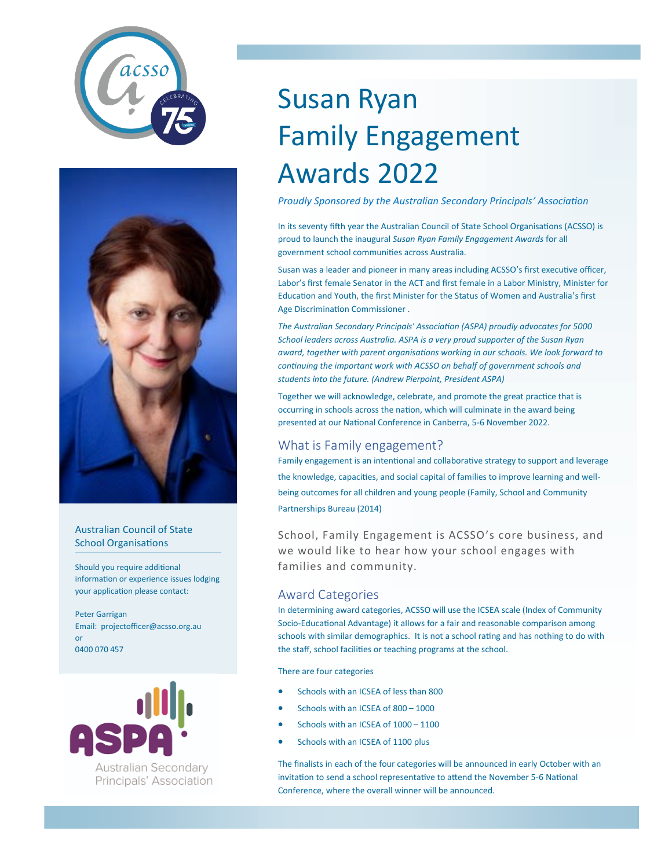



#### Australian Council of State School Organisations

Should you require additional information or experience issues lodging your application please contact:

Peter Garrigan Email: projectofficer@acsso.org.au or 0400 070 457



# Susan Ryan Family Engagement Awards 2022

*Proudly Sponsored by the Australian Secondary Principals' Association*

In its seventy fifth year the Australian Council of State School Organisations (ACSSO) is proud to launch the inaugural *Susan Ryan Family Engagement Awards* for all government school communities across Australia.

Susan was a leader and pioneer in many areas including ACSSO's first executive officer, Labor's first female Senator in the ACT and first female in a Labor Ministry, Minister for Education and Youth, the first Minister for the Status of Women and Australia's first Age Discrimination Commissioner .

*The Australian Secondary Principals' Association (ASPA) proudly advocates for 5000 School leaders across Australia. ASPA is a very proud supporter of the Susan Ryan award, together with parent organisations working in our schools. We look forward to continuing the important work with ACSSO on behalf of government schools and students into the future. (Andrew Pierpoint, President ASPA)*

Together we will acknowledge, celebrate, and promote the great practice that is occurring in schools across the nation, which will culminate in the award being presented at our National Conference in Canberra, 5-6 November 2022.

# What is Family engagement?

Family engagement is an intentional and collaborative strategy to support and leverage the knowledge, capacities, and social capital of families to improve learning and wellbeing outcomes for all children and young people (Family, School and Community Partnerships Bureau (2014)

School, Family Engagement is ACSSO's core business, and we would like to hear how your school engages with families and community.

### Award Categories

In determining award categories, ACSSO will use the ICSEA scale (Index of Community Socio-Educational Advantage) it allows for a fair and reasonable comparison among schools with similar demographics. It is not a school rating and has nothing to do with the staff, school facilities or teaching programs at the school.

There are four categories

- Schools with an ICSEA of less than 800
- Schools with an ICSEA of 800 1000
- Schools with an ICSEA of 1000 1100
- Schools with an ICSEA of 1100 plus

The finalists in each of the four categories will be announced in early October with an invitation to send a school representative to attend the November 5-6 National Conference, where the overall winner will be announced.